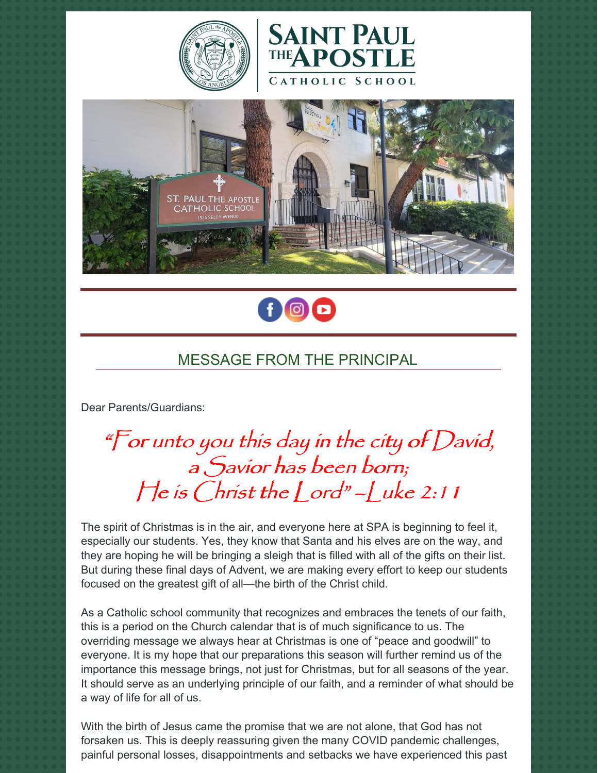







# MESSAGE FROM THE PRINCIPAL

Dear Parents/Guardians:

"For unto you this day in the city of David, <sup>a</sup> Savior has been born;  $\int_0^1 e^{is}$  Christ the  $\int_0^1 e^{is}$  –  $\int_0^1 uke$  2:11

The spirit of Christmas is in the air, and everyone here at SPA is beginning to feel it, especially our students. Yes, they know that Santa and his elves are on the way, and they are hoping he will be bringing a sleigh that is filled with all of the gifts on their list. But during these final days of Advent, we are making every effort to keep our students focused on the greatest gift of all—the birth of the Christ child.

As a Catholic school community that recognizes and embraces the tenets of our faith, this is a period on the Church calendar that is of much significance to us. The overriding message we always hear at Christmas is one of "peace and goodwill" to everyone. It is my hope that our preparations this season will further remind us of the importance this message brings, not just for Christmas, but for all seasons of the year. It should serve as an underlying principle of our faith, and a reminder of what should be a way of life for all of us.

With the birth of Jesus came the promise that we are not alone, that God has not forsaken us. This is deeply reassuring given the many COVID pandemic challenges, painful personal losses, disappointments and setbacks we have experienced this past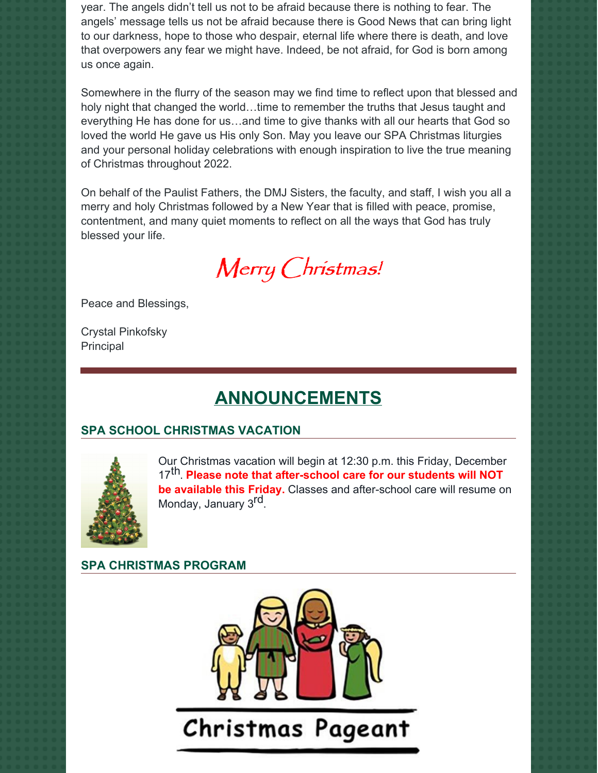year. The angels didn't tell us not to be afraid because there is nothing to fear. The angels' message tells us not be afraid because there is Good News that can bring light to our darkness, hope to those who despair, eternal life where there is death, and love that overpowers any fear we might have. Indeed, be not afraid, for God is born among us once again.

Somewhere in the flurry of the season may we find time to reflect upon that blessed and holy night that changed the world...time to remember the truths that Jesus taught and everything He has done for us…and time to give thanks with all our hearts that God so loved the world He gave us His only Son. May you leave our SPA Christmas liturgies and your personal holiday celebrations with enough inspiration to live the true meaning of Christmas throughout 2022.

On behalf of the Paulist Fathers, the DMJ Sisters, the faculty, and staff, I wish you all a merry and holy Christmas followed by a New Year that is filled with peace, promise, contentment, and many quiet moments to reflect on all the ways that God has truly blessed your life.

Merry Christmas!

Peace and Blessings,

Crystal Pinkofsky Principal

## **ANNOUNCEMENTS**

### **SPA SCHOOL CHRISTMAS VACATION**



Our Christmas vacation will begin at 12:30 p.m. this Friday, December 17 th. **Please note that after-school care for our students will NOT be available this Friday.** Classes and after-school care will resume on Monday, January 3<sup>rd</sup>.

### **SPA CHRISTMAS PROGRAM**

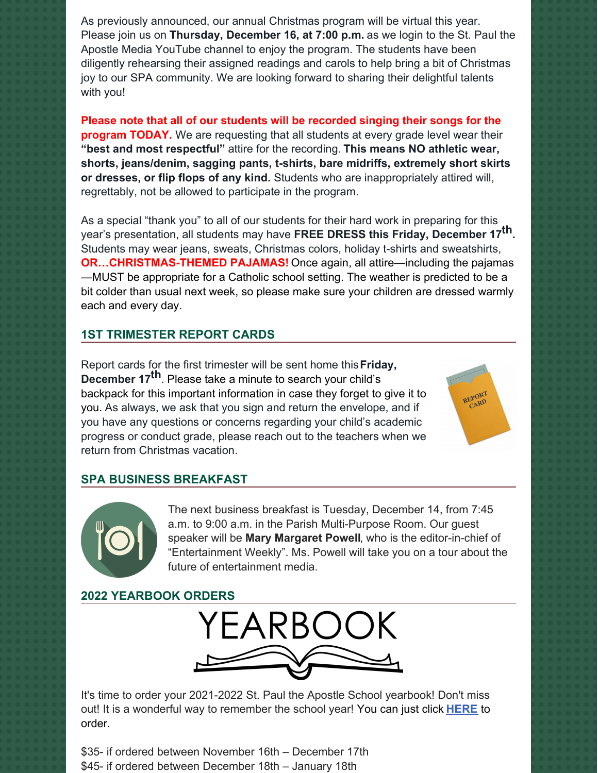As previously announced, our annual Christmas program will be virtual this year. Please join us on **Thursday, December 16, at 7:00 p.m.** as we login to the St. Paul the Apostle Media YouTube channel to enjoy the program. The students have been diligently rehearsing their assigned readings and carols to help bring a bit of Christmas joy to our SPA community. We are looking forward to sharing their delightful talents with you!

**Please note that all of our students will be recorded singing their songs for the program TODAY.** We are requesting that all students at every grade level wear their **"best and most respectful"** attire for the recording. **This means NO athletic wear, shorts, jeans/denim, sagging pants, t-shirts, bare midriffs, extremely short skirts or dresses, or flip flops of any kind.** Students who are inappropriately attired will, regrettably, not be allowed to participate in the program.

As a special "thank you" to all of our students for their hard work in preparing for this year's presentation, all students may have **FREE DRESS this Friday, December 17 th.** Students may wear jeans, sweats, Christmas colors, holiday t-shirts and sweatshirts, **OR…CHRISTMAS-THEMED PAJAMAS!** Once again, all attire—including the pajamas —MUST be appropriate for a Catholic school setting. The weather is predicted to be a bit colder than usual next week, so please make sure your children are dressed warmly each and every day.

### **1ST TRIMESTER REPORT CARDS**

Report cards for the first trimester will be sent home this**Friday, December 17 th**. Please take a minute to search your child's backpack for this important information in case they forget to give it to you. As always, we ask that you sign and return the envelope, and if you have any questions or concerns regarding your child's academic progress or conduct grade, please reach out to the teachers when we return from Christmas vacation.

#### **SPA BUSINESS BREAKFAST**



The next business breakfast is Tuesday, December 14, from 7:45 a.m. to 9:00 a.m. in the Parish Multi-Purpose Room. Our guest speaker will be **Mary Margaret Powell**, who is the editor-in-chief of "Entertainment Weekly". Ms. Powell will take you on a tour about the future of entertainment media.

#### **2022 YEARBOOK ORDERS**



It's time to order your 2021-2022 St. Paul the Apostle School yearbook! Don't miss out! It is a wonderful way to remember the school year! You can just click **[HERE](https://www.prestoregister.com/cgi-bin/order.pl?ref=spapostle_school&fm=3)** to order.

\$35- if ordered between November 16th – December 17th \$45- if ordered between December 18th – January 18th